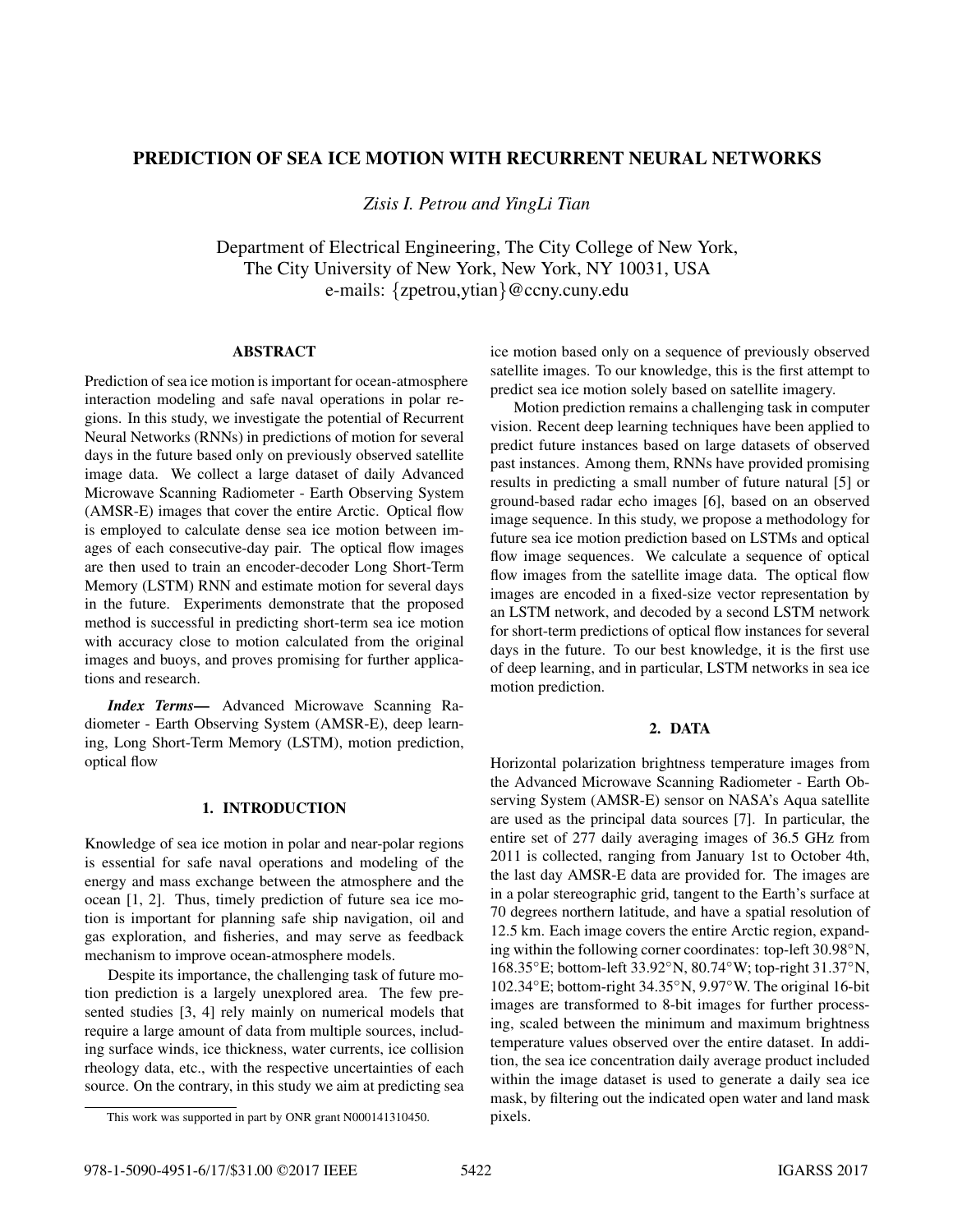# PREDICTION OF SEA ICE MOTION WITH RECURRENT NEURAL NETWORKS

*Zisis I. Petrou and YingLi Tian*

Department of Electrical Engineering, The City College of New York, The City University of New York, New York, NY 10031, USA e-mails: {zpetrou,ytian}@ccny.cuny.edu

### ABSTRACT

Prediction of sea ice motion is important for ocean-atmosphere interaction modeling and safe naval operations in polar regions. In this study, we investigate the potential of Recurrent Neural Networks (RNNs) in predictions of motion for several days in the future based only on previously observed satellite image data. We collect a large dataset of daily Advanced Microwave Scanning Radiometer - Earth Observing System (AMSR-E) images that cover the entire Arctic. Optical flow is employed to calculate dense sea ice motion between images of each consecutive-day pair. The optical flow images are then used to train an encoder-decoder Long Short-Term Memory (LSTM) RNN and estimate motion for several days in the future. Experiments demonstrate that the proposed method is successful in predicting short-term sea ice motion with accuracy close to motion calculated from the original images and buoys, and proves promising for further applications and research.

*Index Terms*— Advanced Microwave Scanning Radiometer - Earth Observing System (AMSR-E), deep learning, Long Short-Term Memory (LSTM), motion prediction, optical flow

### 1. INTRODUCTION

Knowledge of sea ice motion in polar and near-polar regions is essential for safe naval operations and modeling of the energy and mass exchange between the atmosphere and the ocean [1, 2]. Thus, timely prediction of future sea ice motion is important for planning safe ship navigation, oil and gas exploration, and fisheries, and may serve as feedback mechanism to improve ocean-atmosphere models.

Despite its importance, the challenging task of future motion prediction is a largely unexplored area. The few presented studies [3, 4] rely mainly on numerical models that require a large amount of data from multiple sources, including surface winds, ice thickness, water currents, ice collision rheology data, etc., with the respective uncertainties of each source. On the contrary, in this study we aim at predicting sea ice motion based only on a sequence of previously observed satellite images. To our knowledge, this is the first attempt to predict sea ice motion solely based on satellite imagery.

Motion prediction remains a challenging task in computer vision. Recent deep learning techniques have been applied to predict future instances based on large datasets of observed past instances. Among them, RNNs have provided promising results in predicting a small number of future natural [5] or ground-based radar echo images [6], based on an observed image sequence. In this study, we propose a methodology for future sea ice motion prediction based on LSTMs and optical flow image sequences. We calculate a sequence of optical flow images from the satellite image data. The optical flow images are encoded in a fixed-size vector representation by an LSTM network, and decoded by a second LSTM network for short-term predictions of optical flow instances for several days in the future. To our best knowledge, it is the first use of deep learning, and in particular, LSTM networks in sea ice motion prediction.

## 2. DATA

Horizontal polarization brightness temperature images from the Advanced Microwave Scanning Radiometer - Earth Observing System (AMSR-E) sensor on NASA's Aqua satellite are used as the principal data sources [7]. In particular, the entire set of 277 daily averaging images of 36.5 GHz from 2011 is collected, ranging from January 1st to October 4th, the last day AMSR-E data are provided for. The images are in a polar stereographic grid, tangent to the Earth's surface at 70 degrees northern latitude, and have a spatial resolution of 12.5 km. Each image covers the entire Arctic region, expanding within the following corner coordinates: top-left 30.98◦N, 168.35◦E; bottom-left 33.92◦N, 80.74◦W; top-right 31.37◦N, 102.34◦E; bottom-right 34.35◦N, 9.97◦W. The original 16-bit images are transformed to 8-bit images for further processing, scaled between the minimum and maximum brightness temperature values observed over the entire dataset. In addition, the sea ice concentration daily average product included within the image dataset is used to generate a daily sea ice mask, by filtering out the indicated open water and land mask pixels.

This work was supported in part by ONR grant N000141310450.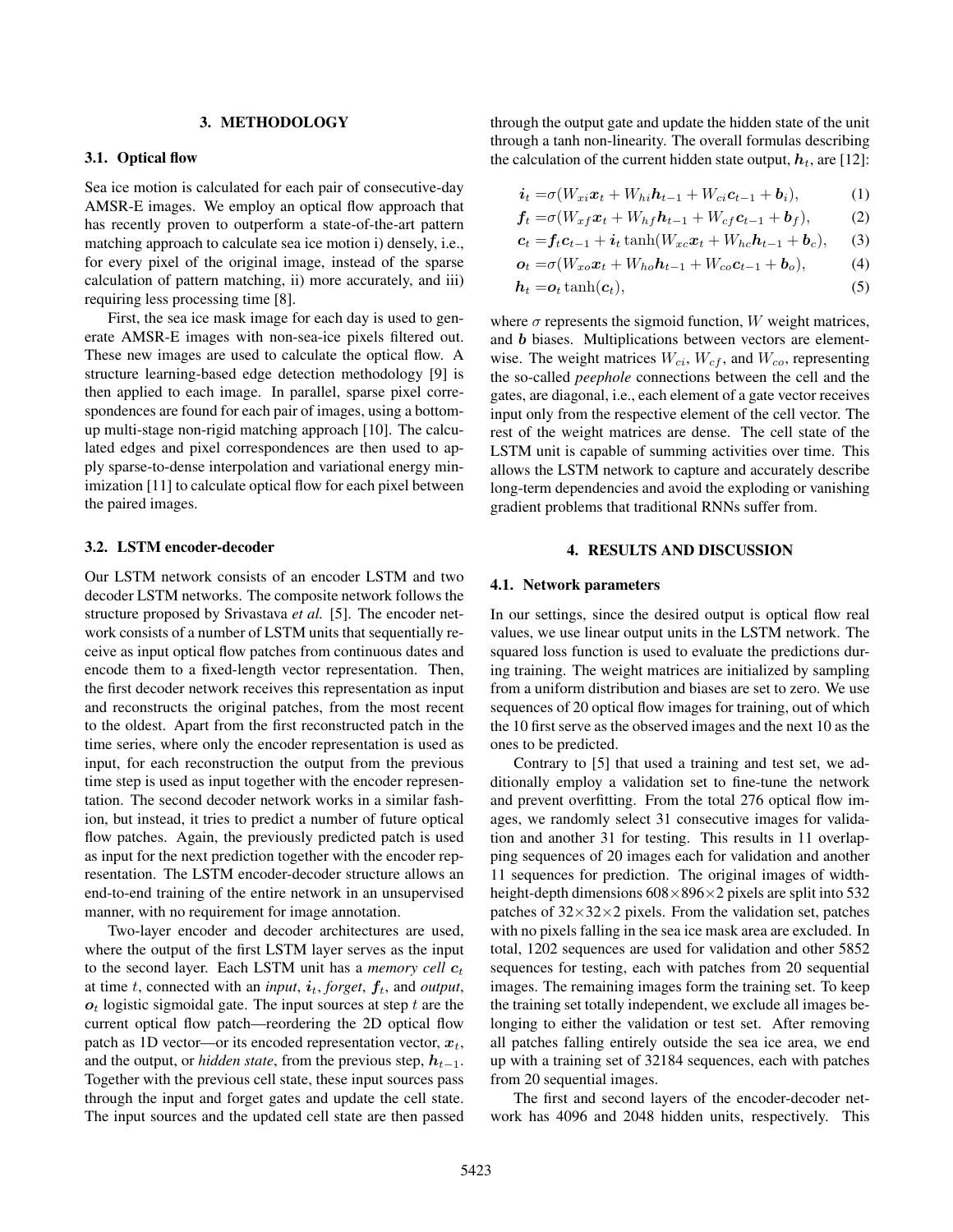### 3. METHODOLOGY

#### 3.1. Optical flow

Sea ice motion is calculated for each pair of consecutive-day AMSR-E images. We employ an optical flow approach that has recently proven to outperform a state-of-the-art pattern matching approach to calculate sea ice motion i) densely, i.e., for every pixel of the original image, instead of the sparse calculation of pattern matching, ii) more accurately, and iii) requiring less processing time [8].

First, the sea ice mask image for each day is used to generate AMSR-E images with non-sea-ice pixels filtered out. These new images are used to calculate the optical flow. A structure learning-based edge detection methodology [9] is then applied to each image. In parallel, sparse pixel correspondences are found for each pair of images, using a bottomup multi-stage non-rigid matching approach [10]. The calculated edges and pixel correspondences are then used to apply sparse-to-dense interpolation and variational energy minimization [11] to calculate optical flow for each pixel between the paired images.

### 3.2. LSTM encoder-decoder

Our LSTM network consists of an encoder LSTM and two decoder LSTM networks. The composite network follows the structure proposed by Srivastava *et al.* [5]. The encoder network consists of a number of LSTM units that sequentially receive as input optical flow patches from continuous dates and encode them to a fixed-length vector representation. Then, the first decoder network receives this representation as input and reconstructs the original patches, from the most recent to the oldest. Apart from the first reconstructed patch in the time series, where only the encoder representation is used as input, for each reconstruction the output from the previous time step is used as input together with the encoder representation. The second decoder network works in a similar fashion, but instead, it tries to predict a number of future optical flow patches. Again, the previously predicted patch is used as input for the next prediction together with the encoder representation. The LSTM encoder-decoder structure allows an end-to-end training of the entire network in an unsupervised manner, with no requirement for image annotation.

Two-layer encoder and decoder architectures are used, where the output of the first LSTM layer serves as the input to the second layer. Each LSTM unit has a *memory cell*  $c_t$ at time t, connected with an *input*,  $i_t$ , *forget*,  $f_t$ , and *output*,  $o_t$  logistic sigmoidal gate. The input sources at step t are the current optical flow patch—reordering the 2D optical flow patch as 1D vector—or its encoded representation vector,  $x_t$ , and the output, or *hidden state*, from the previous step,  $h_{t-1}$ . Together with the previous cell state, these input sources pass through the input and forget gates and update the cell state. The input sources and the updated cell state are then passed through the output gate and update the hidden state of the unit through a tanh non-linearity. The overall formulas describing the calculation of the current hidden state output,  $h_t$ , are [12]:

$$
\boldsymbol{i}_t = \sigma(W_{xi}\boldsymbol{x}_t + W_{hi}\boldsymbol{h}_{t-1} + W_{ci}\boldsymbol{c}_{t-1} + \boldsymbol{b}_i),\tag{1}
$$

$$
\boldsymbol{f}_t = \sigma(W_{xf}\boldsymbol{x}_t + W_{hf}\boldsymbol{h}_{t-1} + W_{cf}\boldsymbol{c}_{t-1} + \boldsymbol{b}_f),
$$
 (2)

$$
\mathbf{c}_t = \mathbf{f}_t \mathbf{c}_{t-1} + \mathbf{i}_t \tanh(W_{xc} \mathbf{x}_t + W_{hc} \mathbf{h}_{t-1} + \mathbf{b}_c), \quad (3)
$$

$$
\boldsymbol{o}_t = \sigma(W_{xo}\boldsymbol{x}_t + W_{ho}\boldsymbol{h}_{t-1} + W_{co}\boldsymbol{c}_{t-1} + \boldsymbol{b}_o),\tag{4}
$$

$$
\boldsymbol{h}_t = \boldsymbol{o}_t \tanh(\boldsymbol{c}_t),\tag{5}
$$

where  $\sigma$  represents the sigmoid function, W weight matrices, and b biases. Multiplications between vectors are elementwise. The weight matrices  $W_{ci}$ ,  $W_{cf}$ , and  $W_{co}$ , representing the so-called *peephole* connections between the cell and the gates, are diagonal, i.e., each element of a gate vector receives input only from the respective element of the cell vector. The rest of the weight matrices are dense. The cell state of the LSTM unit is capable of summing activities over time. This allows the LSTM network to capture and accurately describe long-term dependencies and avoid the exploding or vanishing gradient problems that traditional RNNs suffer from.

#### 4. RESULTS AND DISCUSSION

#### 4.1. Network parameters

In our settings, since the desired output is optical flow real values, we use linear output units in the LSTM network. The squared loss function is used to evaluate the predictions during training. The weight matrices are initialized by sampling from a uniform distribution and biases are set to zero. We use sequences of 20 optical flow images for training, out of which the 10 first serve as the observed images and the next 10 as the ones to be predicted.

Contrary to [5] that used a training and test set, we additionally employ a validation set to fine-tune the network and prevent overfitting. From the total 276 optical flow images, we randomly select 31 consecutive images for validation and another 31 for testing. This results in 11 overlapping sequences of 20 images each for validation and another 11 sequences for prediction. The original images of widthheight-depth dimensions  $608\times896\times2$  pixels are split into 532 patches of  $32\times32\times2$  pixels. From the validation set, patches with no pixels falling in the sea ice mask area are excluded. In total, 1202 sequences are used for validation and other 5852 sequences for testing, each with patches from 20 sequential images. The remaining images form the training set. To keep the training set totally independent, we exclude all images belonging to either the validation or test set. After removing all patches falling entirely outside the sea ice area, we end up with a training set of 32184 sequences, each with patches from 20 sequential images.

The first and second layers of the encoder-decoder network has 4096 and 2048 hidden units, respectively. This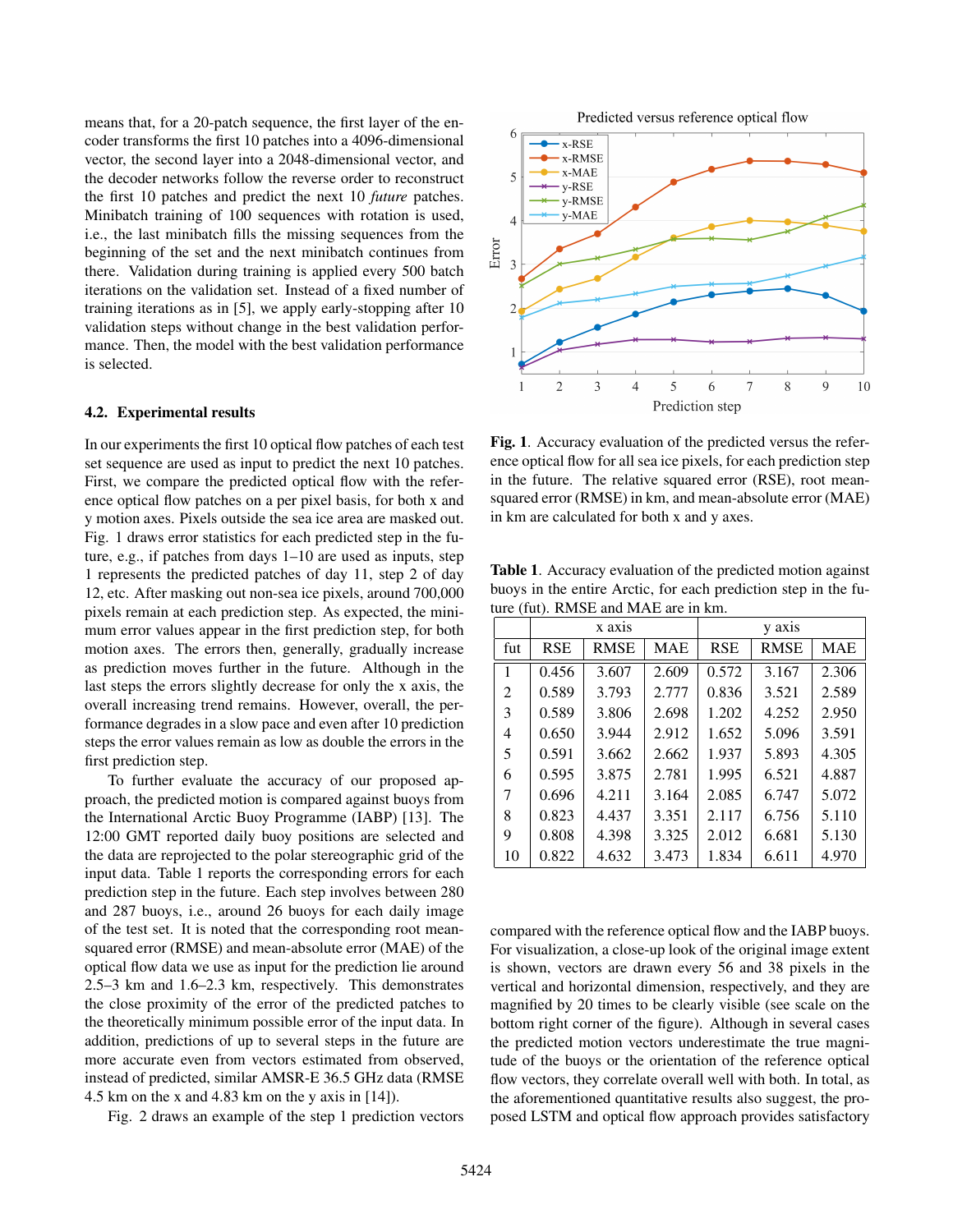means that, for a 20-patch sequence, the first layer of the encoder transforms the first 10 patches into a 4096-dimensional vector, the second layer into a 2048-dimensional vector, and the decoder networks follow the reverse order to reconstruct the first 10 patches and predict the next 10 *future* patches. Minibatch training of 100 sequences with rotation is used, i.e., the last minibatch fills the missing sequences from the beginning of the set and the next minibatch continues from there. Validation during training is applied every 500 batch iterations on the validation set. Instead of a fixed number of training iterations as in [5], we apply early-stopping after 10 validation steps without change in the best validation performance. Then, the model with the best validation performance is selected.

#### 4.2. Experimental results

In our experiments the first 10 optical flow patches of each test set sequence are used as input to predict the next 10 patches. First, we compare the predicted optical flow with the reference optical flow patches on a per pixel basis, for both x and y motion axes. Pixels outside the sea ice area are masked out. Fig. 1 draws error statistics for each predicted step in the future, e.g., if patches from days 1–10 are used as inputs, step 1 represents the predicted patches of day 11, step 2 of day 12, etc. After masking out non-sea ice pixels, around 700,000 pixels remain at each prediction step. As expected, the minimum error values appear in the first prediction step, for both motion axes. The errors then, generally, gradually increase as prediction moves further in the future. Although in the last steps the errors slightly decrease for only the x axis, the overall increasing trend remains. However, overall, the performance degrades in a slow pace and even after 10 prediction steps the error values remain as low as double the errors in the first prediction step.

To further evaluate the accuracy of our proposed approach, the predicted motion is compared against buoys from the International Arctic Buoy Programme (IABP) [13]. The 12:00 GMT reported daily buoy positions are selected and the data are reprojected to the polar stereographic grid of the input data. Table 1 reports the corresponding errors for each prediction step in the future. Each step involves between 280 and 287 buoys, i.e., around 26 buoys for each daily image of the test set. It is noted that the corresponding root meansquared error (RMSE) and mean-absolute error (MAE) of the optical flow data we use as input for the prediction lie around 2.5–3 km and 1.6–2.3 km, respectively. This demonstrates the close proximity of the error of the predicted patches to the theoretically minimum possible error of the input data. In addition, predictions of up to several steps in the future are more accurate even from vectors estimated from observed, instead of predicted, similar AMSR-E 36.5 GHz data (RMSE 4.5 km on the x and 4.83 km on the y axis in [14]).

Fig. 2 draws an example of the step 1 prediction vectors

Predicted versus reference optical flow



Fig. 1. Accuracy evaluation of the predicted versus the reference optical flow for all sea ice pixels, for each prediction step in the future. The relative squared error (RSE), root meansquared error (RMSE) in km, and mean-absolute error (MAE) in km are calculated for both x and y axes.

Table 1. Accuracy evaluation of the predicted motion against buoys in the entire Arctic, for each prediction step in the future (fut). RMSE and MAE are in km.

|              | x axis     |             |            | y axis     |             |            |
|--------------|------------|-------------|------------|------------|-------------|------------|
| fut          | <b>RSE</b> | <b>RMSE</b> | <b>MAE</b> | <b>RSE</b> | <b>RMSE</b> | <b>MAE</b> |
| $\mathbf{1}$ | 0.456      | 3.607       | 2.609      | 0.572      | 3.167       | 2.306      |
| 2            | 0.589      | 3.793       | 2.777      | 0.836      | 3.521       | 2.589      |
| 3            | 0.589      | 3.806       | 2.698      | 1.202      | 4.252       | 2.950      |
| 4            | 0.650      | 3.944       | 2.912      | 1.652      | 5.096       | 3.591      |
| 5            | 0.591      | 3.662       | 2.662      | 1.937      | 5.893       | 4.305      |
| 6            | 0.595      | 3.875       | 2.781      | 1.995      | 6.521       | 4.887      |
| 7            | 0.696      | 4.211       | 3.164      | 2.085      | 6.747       | 5.072      |
| 8            | 0.823      | 4.437       | 3.351      | 2.117      | 6.756       | 5.110      |
| 9            | 0.808      | 4.398       | 3.325      | 2.012      | 6.681       | 5.130      |
| 10           | 0.822      | 4.632       | 3.473      | 1.834      | 6.611       | 4.970      |

compared with the reference optical flow and the IABP buoys. For visualization, a close-up look of the original image extent is shown, vectors are drawn every 56 and 38 pixels in the vertical and horizontal dimension, respectively, and they are magnified by 20 times to be clearly visible (see scale on the bottom right corner of the figure). Although in several cases the predicted motion vectors underestimate the true magnitude of the buoys or the orientation of the reference optical flow vectors, they correlate overall well with both. In total, as the aforementioned quantitative results also suggest, the proposed LSTM and optical flow approach provides satisfactory